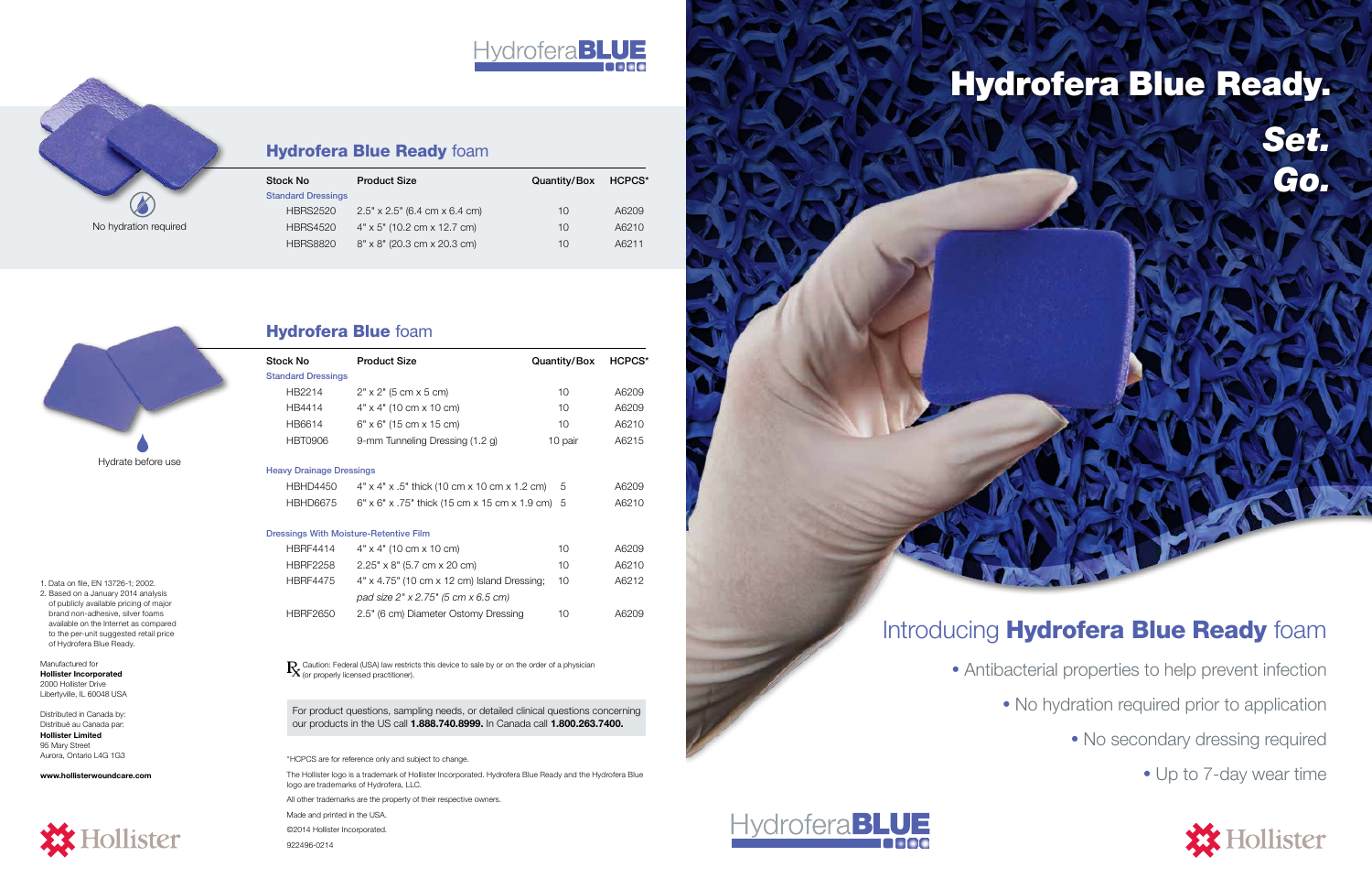# Hydrofera **BLUE**

# **Hydrofera Blue Ready foam**

• Antibacterial properties to help prevent infection • No hydration required prior to application • No secondary dressing required • Up to 7-day wear time



1. Data on file, EN 13726-1; 2002.

2. Based on a January 2014 analysis of publicly available pricing of major brand non-adhesive, silver foams available on the Internet as compared to the per-unit suggested retail price of Hydrofera Blue Ready.

> For product questions, sampling needs, or detailed clinical questions concerning our products in the US call 1.888.740.8999. In Canada call 1.800.263.7400.

Manufactured for Hollister Incorporated 2000 Hollister Drive Libertyville, IL 60048 USA

Distributed in Canada by: Distribué au Canada par: Hollister Limited 95 Mary Street Aurora, Ontario L4G 1G3

www.hollisterwoundcare.com



Caution: Federal (USA) law restricts this device to sale by or on the order of a physician (or properly licensed practitioner).

\*HCPCS are for reference only and subject to change.

The Hollister logo is a trademark of Hollister Incorporated. Hydrofera Blue Ready and the Hydrofera Blue logo are trademarks of Hydrofera, LLC.

All other trademarks are the property of their respective owners.

Made and printed in the USA. ©2014 Hollister Incorporated.

922496-0214

| Stock No                        | <b>Product Size</b>                                         | Quantity/Box | <b>HCPCS*</b> |
|---------------------------------|-------------------------------------------------------------|--------------|---------------|
| <b>Standard Dressings</b>       |                                                             |              |               |
| HB2214                          | $2" \times 2"$ (5 cm $\times$ 5 cm)                         | 10           | A6209         |
| HB4414                          | $4" \times 4"$ (10 cm $\times$ 10 cm)                       | 10           | A6209         |
| HB6614                          | $6" \times 6"$ (15 cm $\times$ 15 cm)                       | 10           | A6210         |
| <b>HBT0906</b>                  | 9-mm Tunneling Dressing (1.2 g)                             | 10 pair      | A6215         |
| <b>Heavy Drainage Dressings</b> |                                                             |              |               |
| <b>HBHD4450</b>                 | $4" \times 4" \times .5"$ thick (10 cm x 10 cm x 1.2 cm)    | 5            | A6209         |
| <b>HBHD6675</b>                 | $6" \times 6" \times .75"$ thick (15 cm x 15 cm x 1.9 cm) 5 |              | A6210         |
|                                 | <b>Dressings With Moisture-Retentive Film</b>               |              |               |
| <b>HBRF4414</b>                 | $4" \times 4"$ (10 cm $\times$ 10 cm)                       | 10           | A6209         |
| <b>HBRF2258</b>                 | $2.25" \times 8"$ (5.7 cm x 20 cm)                          | 10           | A6210         |
| <b>HBRF4475</b>                 | $4" \times 4.75"$ (10 cm $\times$ 12 cm) Island Dressing;   | 10           | A6212         |
|                                 | pad size 2" x 2.75" (5 cm x 6.5 cm)                         |              |               |
| <b>HBRF2650</b>                 | 2.5" (6 cm) Diameter Ostomy Dressing                        | 10           | A6209         |
|                                 |                                                             |              |               |
|                                 |                                                             |              |               |



## Hydrofera Blue foam

| Stock No                  | <b>Product Size</b>                         | Quantity/Box | HCPCS* |
|---------------------------|---------------------------------------------|--------------|--------|
| <b>Standard Dressings</b> |                                             |              |        |
| <b>HBRS2520</b>           | $2.5" \times 2.5"$ (6.4 cm $\times$ 6.4 cm) | 10           | A6209  |
| <b>HBRS4520</b>           | $4" \times 5"$ (10.2 cm x 12.7 cm)          | 10           | A6210  |
| <b>HBRS8820</b>           | $8'' \times 8''$ (20.3 cm $\times$ 20.3 cm) | 10           | A6211  |

No hydration required

X.





# Introducing Hydrofera Blue Ready foam